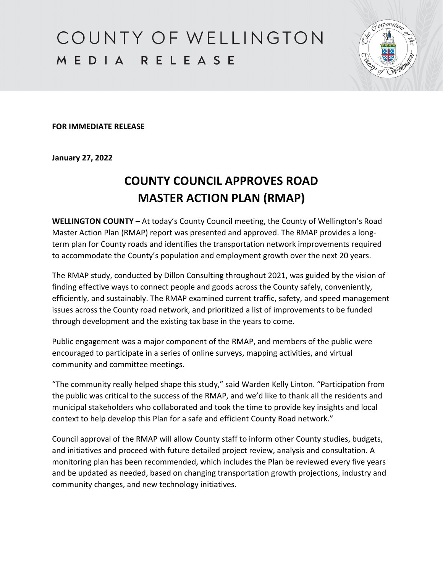COUNTY OF WELLINGTON MEDIA RELEASE



**FOR IMMEDIATE RELEASE**

**January 27, 2022**

## **COUNTY COUNCIL APPROVES ROAD MASTER ACTION PLAN (RMAP)**

**WELLINGTON COUNTY –** At today's County Council meeting, the County of Wellington's Road Master Action Plan (RMAP) report was presented and approved. The RMAP provides a longterm plan for County roads and identifies the transportation network improvements required to accommodate the County's population and employment growth over the next 20 years.

The RMAP study, conducted by Dillon Consulting throughout 2021, was guided by the vision of finding effective ways to connect people and goods across the County safely, conveniently, efficiently, and sustainably. The RMAP examined current traffic, safety, and speed management issues across the County road network, and prioritized a list of improvements to be funded through development and the existing tax base in the years to come.

Public engagement was a major component of the RMAP, and members of the public were encouraged to participate in a series of online surveys, mapping activities, and virtual community and committee meetings.

"The community really helped shape this study," said Warden Kelly Linton. "Participation from the public was critical to the success of the RMAP, and we'd like to thank all the residents and municipal stakeholders who collaborated and took the time to provide key insights and local context to help develop this Plan for a safe and efficient County Road network."

Council approval of the RMAP will allow County staff to inform other County studies, budgets, and initiatives and proceed with future detailed project review, analysis and consultation. A monitoring plan has been recommended, which includes the Plan be reviewed every five years and be updated as needed, based on changing transportation growth projections, industry and community changes, and new technology initiatives.